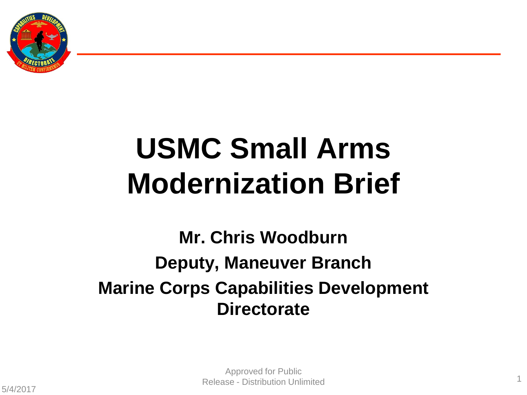

# **USMC Small Arms Modernization Brief**

**Mr. Chris Woodburn Deputy, Maneuver Branch Marine Corps Capabilities Development Directorate**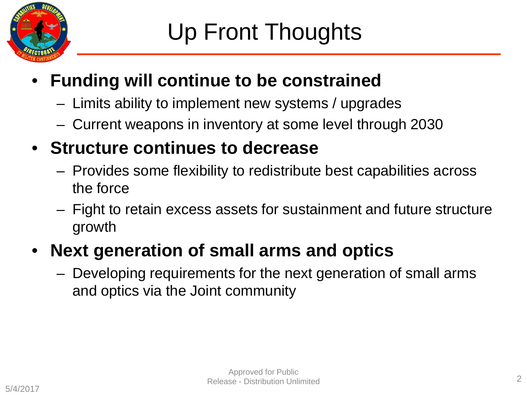

### • **Funding will continue to be constrained**

- Limits ability to implement new systems / upgrades
- Current weapons in inventory at some level through 2030
- **Structure continues to decrease**
	- Provides some flexibility to redistribute best capabilities across the force
	- Fight to retain excess assets for sustainment and future structure growth

### • **Next generation of small arms and optics**

– Developing requirements for the next generation of small arms and optics via the Joint community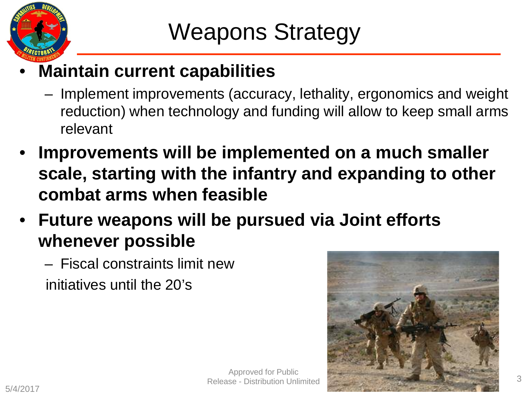

### • **Maintain current capabilities**

- Implement improvements (accuracy, lethality, ergonomics and weight reduction) when technology and funding will allow to keep small arms relevant
- **Improvements will be implemented on a much smaller scale, starting with the infantry and expanding to other combat arms when feasible**
- **Future weapons will be pursued via Joint efforts whenever possible**
	- Fiscal constraints limit new initiatives until the 20's



Approved for Public Release - Distribution Unlimited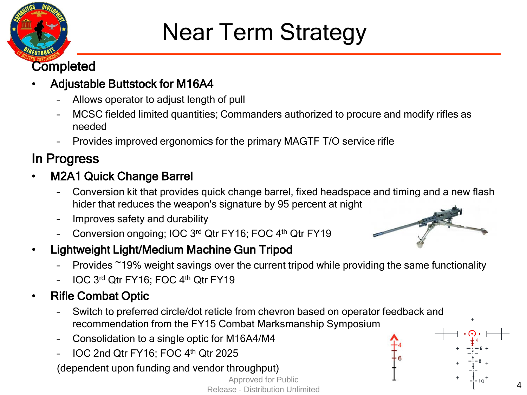

## Near Term Strategy

#### **Completed**

#### • Adjustable Buttstock for M16A4

- Allows operator to adjust length of pull
- MCSC fielded limited quantities; Commanders authorized to procure and modify rifles as needed
- Provides improved ergonomics for the primary MAGTF T/O service rifle

### In Progress

- M2A1 Quick Change Barrel
	- Conversion kit that provides quick change barrel, fixed headspace and timing and a new flash hider that reduces the weapon's signature by 95 percent at night
	- Improves safety and durability
	- Conversion ongoing; IOC 3rd Qtr FY16; FOC 4th Qtr FY19
- Lightweight Light/Medium Machine Gun Tripod
	- Provides ~19% weight savings over the current tripod while providing the same functionality
	- IOC 3rd Qtr FY16; FOC 4th Qtr FY19
- Rifle Combat Optic
	- Switch to preferred circle/dot reticle from chevron based on operator feedback and recommendation from the FY15 Combat Marksmanship Symposium
	- Consolidation to a single optic for M16A4/M4
	- IOC 2nd Qtr FY16; FOC 4th Qtr 2025
	- (dependent upon funding and vendor throughput)

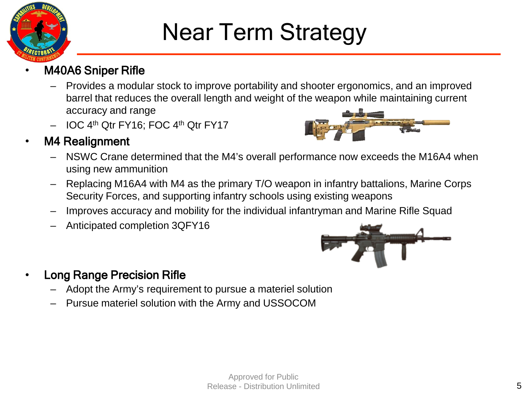

## Near Term Strategy

#### • M40A6 Sniper Rifle

- Provides a modular stock to improve portability and shooter ergonomics, and an improved barrel that reduces the overall length and weight of the weapon while maintaining current accuracy and range
- IOC 4th Qtr FY16; FOC 4th Qtr FY17



- M4 Realignment
	- NSWC Crane determined that the M4's overall performance now exceeds the M16A4 when using new ammunition
	- Replacing M16A4 with M4 as the primary T/O weapon in infantry battalions, Marine Corps Security Forces, and supporting infantry schools using existing weapons
	- Improves accuracy and mobility for the individual infantryman and Marine Rifle Squad
	- Anticipated completion 3QFY16



- Long Range Precision Rifle
	- Adopt the Army's requirement to pursue a materiel solution
	- Pursue materiel solution with the Army and USSOCOM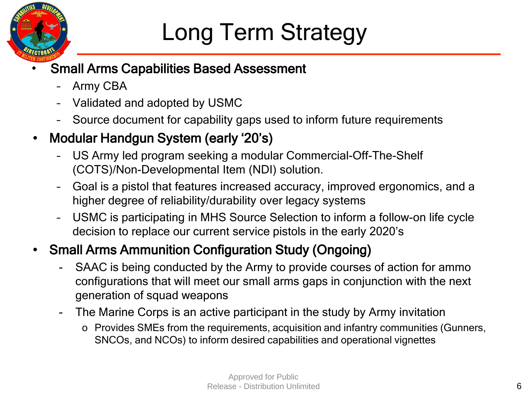

## Long Term Strategy

#### • Small Arms Capabilities Based Assessment

- Army CBA
- Validated and adopted by USMC
- Source document for capability gaps used to inform future requirements

#### • Modular Handgun System (early '20's)

- US Army led program seeking a modular Commercial-Off-The-Shelf (COTS)/Non-Developmental Item (NDI) solution.
- Goal is a pistol that features increased accuracy, improved ergonomics, and a higher degree of reliability/durability over legacy systems
- USMC is participating in MHS Source Selection to inform a follow-on life cycle decision to replace our current service pistols in the early 2020's

#### • Small Arms Ammunition Configuration Study (Ongoing)

- SAAC is being conducted by the Army to provide courses of action for ammo configurations that will meet our small arms gaps in conjunction with the next generation of squad weapons
- The Marine Corps is an active participant in the study by Army invitation
	- o Provides SMEs from the requirements, acquisition and infantry communities (Gunners, SNCOs, and NCOs) to inform desired capabilities and operational vignettes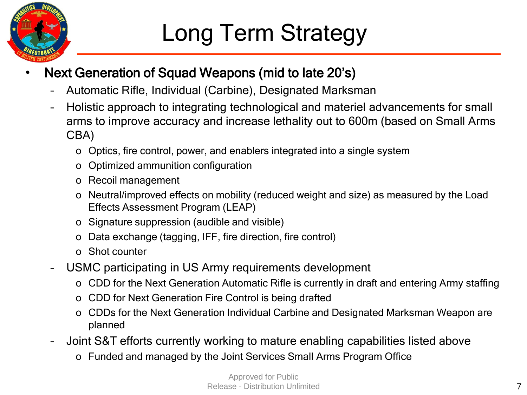

#### • Next Generation of Squad Weapons (mid to late 20's)

- Automatic Rifle, Individual (Carbine), Designated Marksman
- Holistic approach to integrating technological and materiel advancements for small arms to improve accuracy and increase lethality out to 600m (based on Small Arms CBA)
	- o Optics, fire control, power, and enablers integrated into a single system
	- o Optimized ammunition configuration
	- o Recoil management
	- o Neutral/improved effects on mobility (reduced weight and size) as measured by the Load Effects Assessment Program (LEAP)
	- o Signature suppression (audible and visible)
	- o Data exchange (tagging, IFF, fire direction, fire control)
	- o Shot counter
- USMC participating in US Army requirements development
	- o CDD for the Next Generation Automatic Rifle is currently in draft and entering Army staffing
	- o CDD for Next Generation Fire Control is being drafted
	- o CDDs for the Next Generation Individual Carbine and Designated Marksman Weapon are planned
- Joint S&T efforts currently working to mature enabling capabilities listed above
	- o Funded and managed by the Joint Services Small Arms Program Office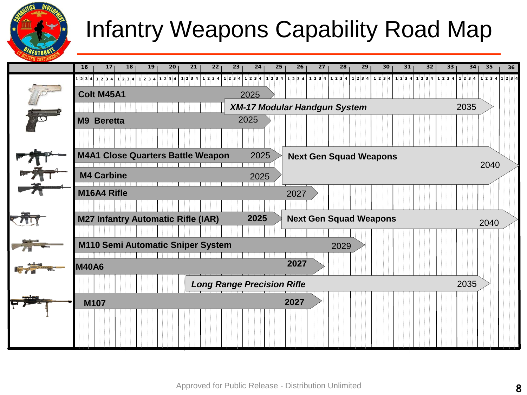## Infantry Weapons Capability Road Map

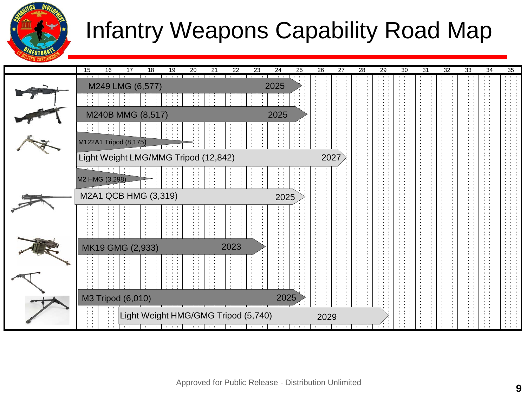

### Infantry Weapons Capability Road Map